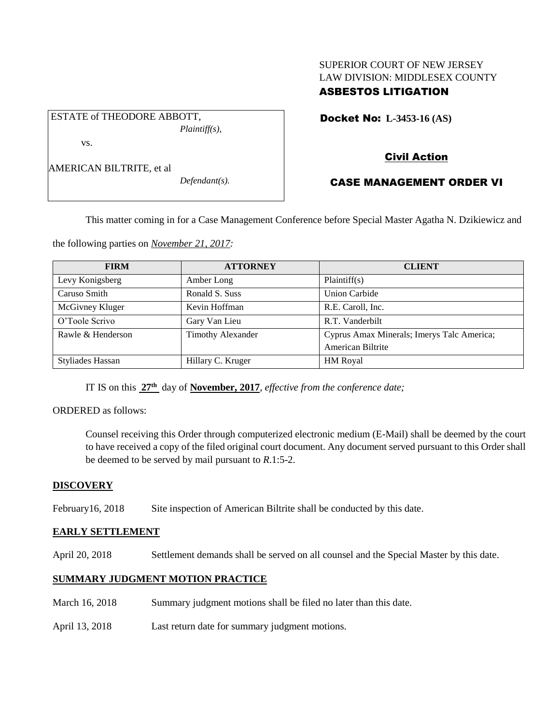# SUPERIOR COURT OF NEW JERSEY LAW DIVISION: MIDDLESEX COUNTY

## ASBESTOS LITIGATION

Docket No: **L-3453-16 (AS)** 

vs.

AMERICAN BILTRITE, et al

ESTATE of THEODORE ABBOTT,

*Defendant(s).*

*Plaintiff(s),*

## Civil Action

## CASE MANAGEMENT ORDER VI

This matter coming in for a Case Management Conference before Special Master Agatha N. Dzikiewicz and

the following parties on *November 21, 2017:*

| <b>FIRM</b>             | <b>ATTORNEY</b>          | <b>CLIENT</b>                              |
|-------------------------|--------------------------|--------------------------------------------|
| Levy Konigsberg         | Amber Long               | Plaintiff(s)                               |
| Caruso Smith            | Ronald S. Suss           | <b>Union Carbide</b>                       |
| McGivney Kluger         | Kevin Hoffman            | R.E. Caroll, Inc.                          |
| O'Toole Scrivo          | Gary Van Lieu            | R.T. Vanderbilt                            |
| Rawle & Henderson       | <b>Timothy Alexander</b> | Cyprus Amax Minerals; Imerys Talc America; |
|                         |                          | American Biltrite                          |
| <b>Styliades Hassan</b> | Hillary C. Kruger        | HM Royal                                   |

IT IS on this **27th** day of **November, 2017**, *effective from the conference date;*

ORDERED as follows:

Counsel receiving this Order through computerized electronic medium (E-Mail) shall be deemed by the court to have received a copy of the filed original court document. Any document served pursuant to this Order shall be deemed to be served by mail pursuant to *R*.1:5-2.

## **DISCOVERY**

February16, 2018 Site inspection of American Biltrite shall be conducted by this date.

#### **EARLY SETTLEMENT**

April 20, 2018 Settlement demands shall be served on all counsel and the Special Master by this date.

## **SUMMARY JUDGMENT MOTION PRACTICE**

- March 16, 2018 Summary judgment motions shall be filed no later than this date.
- April 13, 2018 Last return date for summary judgment motions.